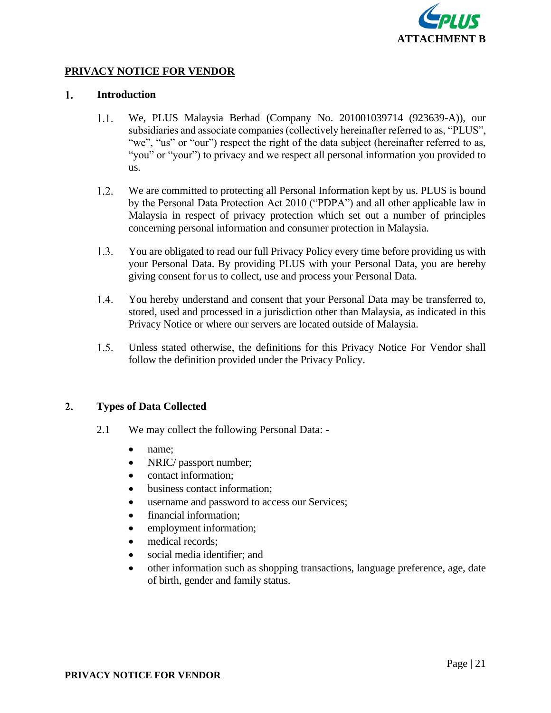

# **PRIVACY NOTICE FOR VENDOR**

#### $1.$ **Introduction**

- $1.1.$ We, PLUS Malaysia Berhad (Company No. 201001039714 (923639-A)), our subsidiaries and associate companies (collectively hereinafter referred to as, "PLUS", "we", "us" or "our") respect the right of the data subject (hereinafter referred to as, "you" or "your") to privacy and we respect all personal information you provided to us.
- $1.2.$ We are committed to protecting all Personal Information kept by us. PLUS is bound by the Personal Data Protection Act 2010 ("PDPA") and all other applicable law in Malaysia in respect of privacy protection which set out a number of principles concerning personal information and consumer protection in Malaysia.
- $1.3.$ You are obligated to read our full Privacy Policy every time before providing us with your Personal Data. By providing PLUS with your Personal Data, you are hereby giving consent for us to collect, use and process your Personal Data.
- 1.4. You hereby understand and consent that your Personal Data may be transferred to, stored, used and processed in a jurisdiction other than Malaysia, as indicated in this Privacy Notice or where our servers are located outside of Malaysia.
- $1.5.$ Unless stated otherwise, the definitions for this Privacy Notice For Vendor shall follow the definition provided under the Privacy Policy.

# $2.$ **Types of Data Collected**

- 2.1 We may collect the following Personal Data:
	- name;
	- NRIC/ passport number;
	- contact information;
	- business contact information;
	- username and password to access our Services;
	- financial information;
	- employment information;
	- medical records:
	- social media identifier; and
	- other information such as shopping transactions, language preference, age, date of birth, gender and family status.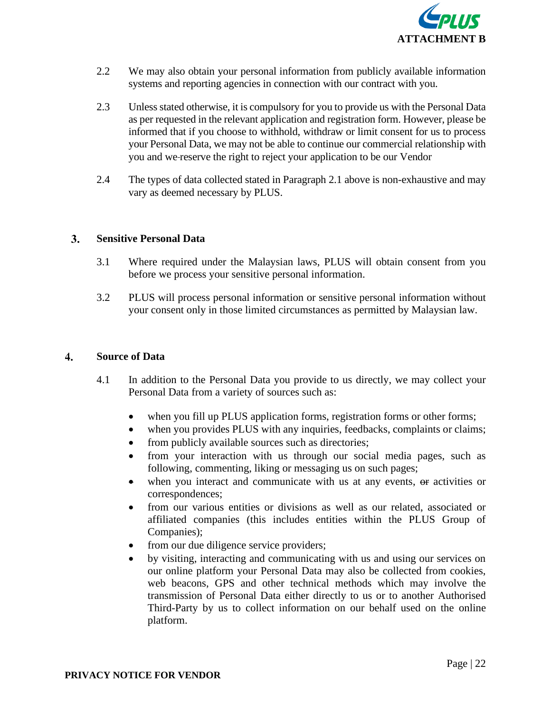

- 2.2 We may also obtain your personal information from publicly available information systems and reporting agencies in connection with our contract with you.
- 2.3 Unless stated otherwise, it is compulsory for you to provide us with the Personal Data as per requested in the relevant application and registration form. However, please be informed that if you choose to withhold, withdraw or limit consent for us to process your Personal Data, we may not be able to continue our commercial relationship with you and we reserve the right to reject your application to be our Vendor
- 2.4 The types of data collected stated in Paragraph 2.1 above is non-exhaustive and may vary as deemed necessary by PLUS.

# $3.$ **Sensitive Personal Data**

- 3.1 Where required under the Malaysian laws, PLUS will obtain consent from you before we process your sensitive personal information.
- 3.2 PLUS will process personal information or sensitive personal information without your consent only in those limited circumstances as permitted by Malaysian law.

#### **Source of Data**  $\overline{4}$ .

- 4.1 In addition to the Personal Data you provide to us directly, we may collect your Personal Data from a variety of sources such as:
	- when you fill up PLUS application forms, registration forms or other forms;
	- when you provides PLUS with any inquiries, feedbacks, complaints or claims;
	- from publicly available sources such as directories;
	- from your interaction with us through our social media pages, such as following, commenting, liking or messaging us on such pages;
	- when you interact and communicate with us at any events,  $\Theta$  activities or correspondences;
	- from our various entities or divisions as well as our related, associated or affiliated companies (this includes entities within the PLUS Group of Companies);
	- from our due diligence service providers;
	- by visiting, interacting and communicating with us and using our services on our online platform your Personal Data may also be collected from cookies, web beacons, GPS and other technical methods which may involve the transmission of Personal Data either directly to us or to another Authorised Third-Party by us to collect information on our behalf used on the online platform.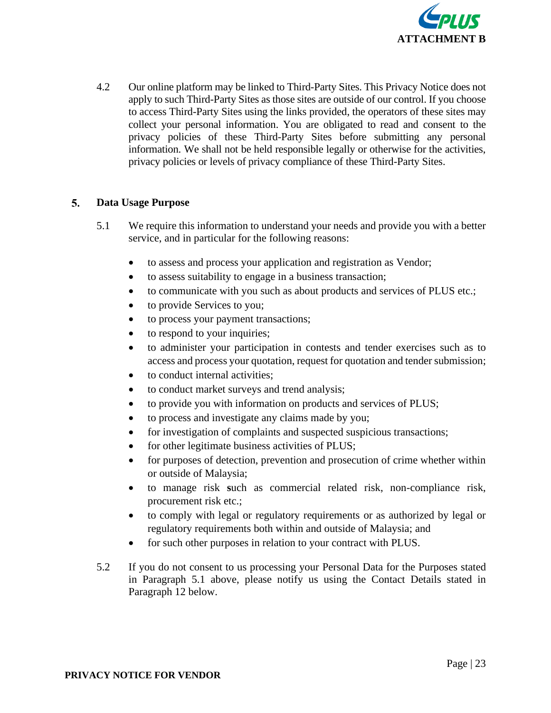

4.2 Our online platform may be linked to Third-Party Sites. This Privacy Notice does not apply to such Third-Party Sites as those sites are outside of our control. If you choose to access Third-Party Sites using the links provided, the operators of these sites may collect your personal information. You are obligated to read and consent to the privacy policies of these Third-Party Sites before submitting any personal information. We shall not be held responsible legally or otherwise for the activities, privacy policies or levels of privacy compliance of these Third-Party Sites.

# $5.$ **Data Usage Purpose**

- 5.1 We require this information to understand your needs and provide you with a better service, and in particular for the following reasons:
	- to assess and process your application and registration as Vendor;
	- to assess suitability to engage in a business transaction;
	- to communicate with you such as about products and services of PLUS etc.;
	- to provide Services to you;
	- to process your payment transactions;
	- to respond to your inquiries;
	- to administer your participation in contests and tender exercises such as to access and process your quotation, request for quotation and tender submission;
	- to conduct internal activities;
	- to conduct market surveys and trend analysis;
	- to provide you with information on products and services of PLUS;
	- to process and investigate any claims made by you;
	- for investigation of complaints and suspected suspicious transactions;
	- for other legitimate business activities of PLUS;
	- for purposes of detection, prevention and prosecution of crime whether within or outside of Malaysia;
	- to manage risk **s**uch as commercial related risk, non-compliance risk, procurement risk etc.;
	- to comply with legal or regulatory requirements or as authorized by legal or regulatory requirements both within and outside of Malaysia; and
	- for such other purposes in relation to your contract with PLUS.
- 5.2 If you do not consent to us processing your Personal Data for the Purposes stated in Paragraph 5.1 above, please notify us using the Contact Details stated in Paragraph 12 below.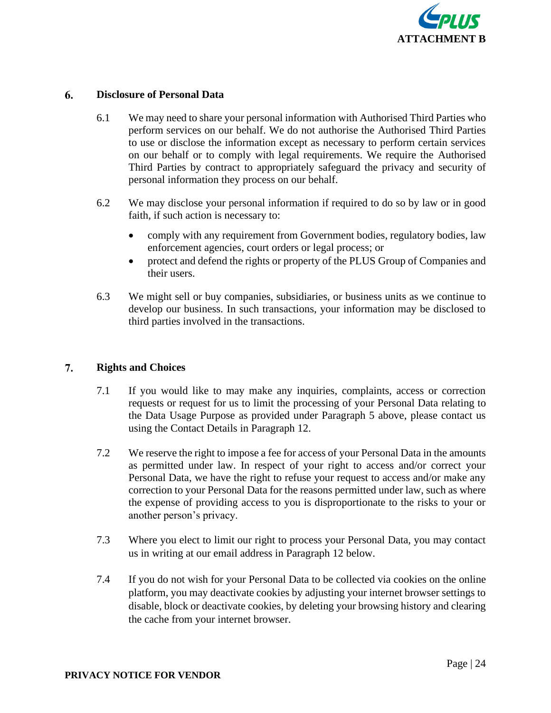

# 6. **Disclosure of Personal Data**

- 6.1 We may need to share your personal information with Authorised Third Parties who perform services on our behalf. We do not authorise the Authorised Third Parties to use or disclose the information except as necessary to perform certain services on our behalf or to comply with legal requirements. We require the Authorised Third Parties by contract to appropriately safeguard the privacy and security of personal information they process on our behalf.
- 6.2 We may disclose your personal information if required to do so by law or in good faith, if such action is necessary to:
	- comply with any requirement from Government bodies, regulatory bodies, law enforcement agencies, court orders or legal process; or
	- protect and defend the rights or property of the PLUS Group of Companies and their users.
- 6.3 We might sell or buy companies, subsidiaries, or business units as we continue to develop our business. In such transactions, your information may be disclosed to third parties involved in the transactions.

# 7. **Rights and Choices**

- 7.1 If you would like to may make any inquiries, complaints, access or correction requests or request for us to limit the processing of your Personal Data relating to the Data Usage Purpose as provided under Paragraph 5 above, please contact us using the Contact Details in Paragraph 12.
- 7.2 We reserve the right to impose a fee for access of your Personal Data in the amounts as permitted under law. In respect of your right to access and/or correct your Personal Data, we have the right to refuse your request to access and/or make any correction to your Personal Data for the reasons permitted under law, such as where the expense of providing access to you is disproportionate to the risks to your or another person's privacy.
- 7.3 Where you elect to limit our right to process your Personal Data, you may contact us in writing at our email address in Paragraph 12 below.
- 7.4 If you do not wish for your Personal Data to be collected via cookies on the online platform, you may deactivate cookies by adjusting your internet browser settings to disable, block or deactivate cookies, by deleting your browsing history and clearing the cache from your internet browser.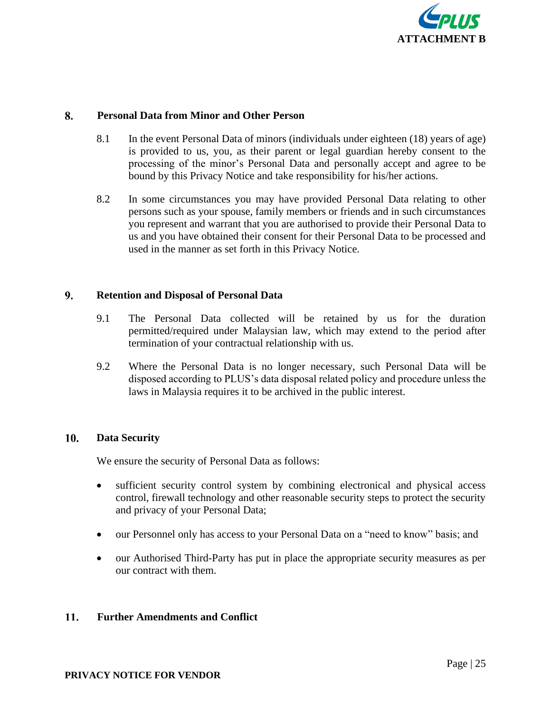

# 8. **Personal Data from Minor and Other Person**

- 8.1 In the event Personal Data of minors (individuals under eighteen (18) years of age) is provided to us, you, as their parent or legal guardian hereby consent to the processing of the minor's Personal Data and personally accept and agree to be bound by this Privacy Notice and take responsibility for his/her actions.
- 8.2 In some circumstances you may have provided Personal Data relating to other persons such as your spouse, family members or friends and in such circumstances you represent and warrant that you are authorised to provide their Personal Data to us and you have obtained their consent for their Personal Data to be processed and used in the manner as set forth in this Privacy Notice.

# 9. **Retention and Disposal of Personal Data**

- 9.1 The Personal Data collected will be retained by us for the duration permitted/required under Malaysian law, which may extend to the period after termination of your contractual relationship with us.
- 9.2 Where the Personal Data is no longer necessary, such Personal Data will be disposed according to PLUS's data disposal related policy and procedure unless the laws in Malaysia requires it to be archived in the public interest.

# 10. **Data Security**

We ensure the security of Personal Data as follows:

- sufficient security control system by combining electronical and physical access control, firewall technology and other reasonable security steps to protect the security and privacy of your Personal Data;
- our Personnel only has access to your Personal Data on a "need to know" basis; and
- our Authorised Third-Party has put in place the appropriate security measures as per our contract with them.

# 11. **Further Amendments and Conflict**